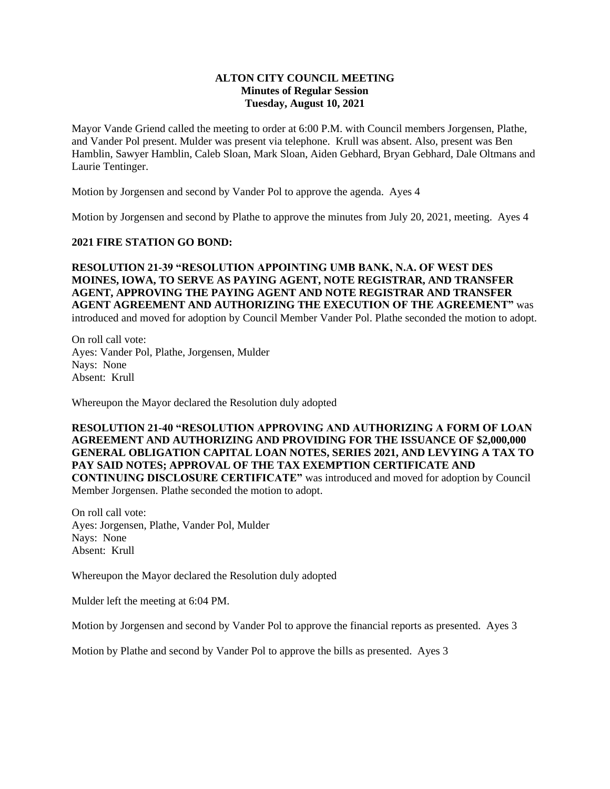## **ALTON CITY COUNCIL MEETING Minutes of Regular Session Tuesday, August 10, 2021**

Mayor Vande Griend called the meeting to order at 6:00 P.M. with Council members Jorgensen, Plathe, and Vander Pol present. Mulder was present via telephone. Krull was absent. Also, present was Ben Hamblin, Sawyer Hamblin, Caleb Sloan, Mark Sloan, Aiden Gebhard, Bryan Gebhard, Dale Oltmans and Laurie Tentinger.

Motion by Jorgensen and second by Vander Pol to approve the agenda. Ayes 4

Motion by Jorgensen and second by Plathe to approve the minutes from July 20, 2021, meeting. Ayes 4

## **2021 FIRE STATION GO BOND:**

**RESOLUTION 21-39 "RESOLUTION APPOINTING UMB BANK, N.A. OF WEST DES MOINES, IOWA, TO SERVE AS PAYING AGENT, NOTE REGISTRAR, AND TRANSFER AGENT, APPROVING THE PAYING AGENT AND NOTE REGISTRAR AND TRANSFER AGENT AGREEMENT AND AUTHORIZING THE EXECUTION OF THE AGREEMENT"** was introduced and moved for adoption by Council Member Vander Pol. Plathe seconded the motion to adopt.

On roll call vote: Ayes: Vander Pol, Plathe, Jorgensen, Mulder Nays: None Absent: Krull

Whereupon the Mayor declared the Resolution duly adopted

**RESOLUTION 21-40 "RESOLUTION APPROVING AND AUTHORIZING A FORM OF LOAN AGREEMENT AND AUTHORIZING AND PROVIDING FOR THE ISSUANCE OF \$2,000,000 GENERAL OBLIGATION CAPITAL LOAN NOTES, SERIES 2021, AND LEVYING A TAX TO PAY SAID NOTES; APPROVAL OF THE TAX EXEMPTION CERTIFICATE AND CONTINUING DISCLOSURE CERTIFICATE"** was introduced and moved for adoption by Council Member Jorgensen. Plathe seconded the motion to adopt.

On roll call vote: Ayes: Jorgensen, Plathe, Vander Pol, Mulder Nays: None Absent: Krull

Whereupon the Mayor declared the Resolution duly adopted

Mulder left the meeting at 6:04 PM.

Motion by Jorgensen and second by Vander Pol to approve the financial reports as presented. Ayes 3

Motion by Plathe and second by Vander Pol to approve the bills as presented. Ayes 3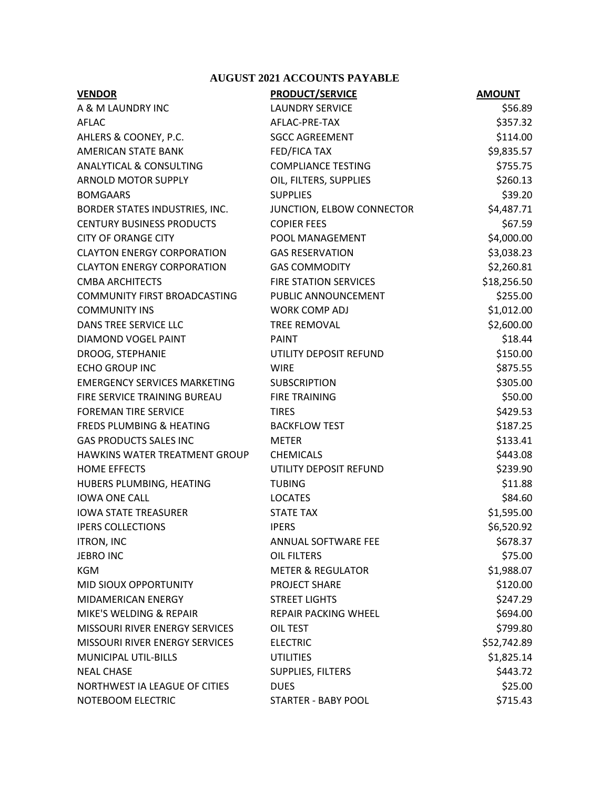## **AUGUST 2021 ACCOUNTS PAYABLE**

| <b>VENDOR</b>                         | <b>PRODUCT/SERVICE</b>       | <b>AMOUNT</b> |  |
|---------------------------------------|------------------------------|---------------|--|
| A & M LAUNDRY INC                     | <b>LAUNDRY SERVICE</b>       | \$56.89       |  |
| <b>AFLAC</b>                          | AFLAC-PRE-TAX                | \$357.32      |  |
| AHLERS & COONEY, P.C.                 | <b>SGCC AGREEMENT</b>        | \$114.00      |  |
| <b>AMERICAN STATE BANK</b>            | <b>FED/FICA TAX</b>          | \$9,835.57    |  |
| ANALYTICAL & CONSULTING               | <b>COMPLIANCE TESTING</b>    | \$755.75      |  |
| <b>ARNOLD MOTOR SUPPLY</b>            | OIL, FILTERS, SUPPLIES       | \$260.13      |  |
| <b>BOMGAARS</b>                       | <b>SUPPLIES</b>              | \$39.20       |  |
| BORDER STATES INDUSTRIES, INC.        | JUNCTION, ELBOW CONNECTOR    | \$4,487.71    |  |
| <b>CENTURY BUSINESS PRODUCTS</b>      | <b>COPIER FEES</b>           | \$67.59       |  |
| <b>CITY OF ORANGE CITY</b>            | POOL MANAGEMENT              | \$4,000.00    |  |
| <b>CLAYTON ENERGY CORPORATION</b>     | <b>GAS RESERVATION</b>       | \$3,038.23    |  |
| <b>CLAYTON ENERGY CORPORATION</b>     | <b>GAS COMMODITY</b>         | \$2,260.81    |  |
| <b>CMBA ARCHITECTS</b>                | <b>FIRE STATION SERVICES</b> | \$18,256.50   |  |
| COMMUNITY FIRST BROADCASTING          | PUBLIC ANNOUNCEMENT          | \$255.00      |  |
| <b>COMMUNITY INS</b>                  | <b>WORK COMP ADJ</b>         | \$1,012.00    |  |
| DANS TREE SERVICE LLC                 | <b>TREE REMOVAL</b>          | \$2,600.00    |  |
| DIAMOND VOGEL PAINT                   | <b>PAINT</b>                 | \$18.44       |  |
| DROOG, STEPHANIE                      | UTILITY DEPOSIT REFUND       | \$150.00      |  |
| <b>ECHO GROUP INC</b>                 | <b>WIRE</b>                  | \$875.55      |  |
| <b>EMERGENCY SERVICES MARKETING</b>   | <b>SUBSCRIPTION</b>          | \$305.00      |  |
| FIRE SERVICE TRAINING BUREAU          | <b>FIRE TRAINING</b>         | \$50.00       |  |
| <b>FOREMAN TIRE SERVICE</b>           | <b>TIRES</b>                 | \$429.53      |  |
| <b>FREDS PLUMBING &amp; HEATING</b>   | <b>BACKFLOW TEST</b>         | \$187.25      |  |
| <b>GAS PRODUCTS SALES INC</b>         | <b>METER</b>                 | \$133.41      |  |
| HAWKINS WATER TREATMENT GROUP         | <b>CHEMICALS</b>             | \$443.08      |  |
| <b>HOME EFFECTS</b>                   | UTILITY DEPOSIT REFUND       | \$239.90      |  |
| HUBERS PLUMBING, HEATING              | <b>TUBING</b>                | \$11.88       |  |
| <b>IOWA ONE CALL</b>                  | <b>LOCATES</b>               | \$84.60       |  |
| <b>IOWA STATE TREASURER</b>           | <b>STATE TAX</b>             | \$1,595.00    |  |
| <b>IPERS COLLECTIONS</b>              | <b>IPERS</b>                 | \$6,520.92    |  |
| <b>ITRON, INC</b>                     | ANNUAL SOFTWARE FEE          | \$678.37      |  |
| <b>JEBRO INC</b>                      | OIL FILTERS                  | \$75.00       |  |
| <b>KGM</b>                            | <b>METER &amp; REGULATOR</b> | \$1,988.07    |  |
| MID SIOUX OPPORTUNITY                 | PROJECT SHARE                | \$120.00      |  |
| MIDAMERICAN ENERGY                    | <b>STREET LIGHTS</b>         | \$247.29      |  |
| MIKE'S WELDING & REPAIR               | REPAIR PACKING WHEEL         | \$694.00      |  |
| <b>MISSOURI RIVER ENERGY SERVICES</b> | OIL TEST                     | \$799.80      |  |
| MISSOURI RIVER ENERGY SERVICES        | <b>ELECTRIC</b>              | \$52,742.89   |  |
| MUNICIPAL UTIL-BILLS                  | <b>UTILITIES</b>             | \$1,825.14    |  |
| <b>NEAL CHASE</b>                     | SUPPLIES, FILTERS            | \$443.72      |  |
| NORTHWEST IA LEAGUE OF CITIES         | <b>DUES</b>                  | \$25.00       |  |
| NOTEBOOM ELECTRIC                     | STARTER - BABY POOL          | \$715.43      |  |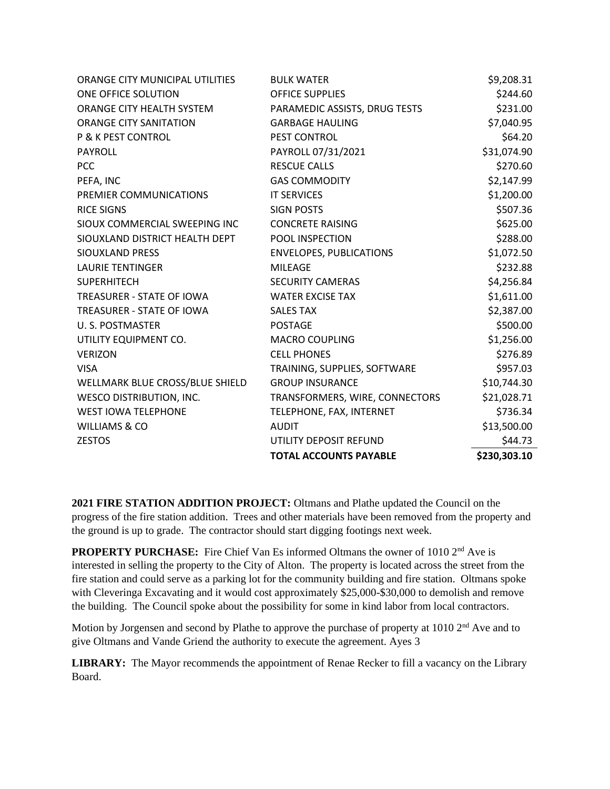| ORANGE CITY MUNICIPAL UTILITIES | <b>BULK WATER</b>              | \$9,208.31   |
|---------------------------------|--------------------------------|--------------|
| ONE OFFICE SOLUTION             | <b>OFFICE SUPPLIES</b>         | \$244.60     |
| ORANGE CITY HEALTH SYSTEM       | PARAMEDIC ASSISTS, DRUG TESTS  | \$231.00     |
| <b>ORANGE CITY SANITATION</b>   | <b>GARBAGE HAULING</b>         | \$7,040.95   |
| <b>P &amp; K PEST CONTROL</b>   | PEST CONTROL                   | \$64.20      |
| <b>PAYROLL</b>                  | PAYROLL 07/31/2021             | \$31,074.90  |
| <b>PCC</b>                      | <b>RESCUE CALLS</b>            | \$270.60     |
| PEFA, INC                       | <b>GAS COMMODITY</b>           | \$2,147.99   |
| PREMIER COMMUNICATIONS          | <b>IT SERVICES</b>             | \$1,200.00   |
| <b>RICE SIGNS</b>               | <b>SIGN POSTS</b>              | \$507.36     |
| SIOUX COMMERCIAL SWEEPING INC   | <b>CONCRETE RAISING</b>        | \$625.00     |
| SIOUXLAND DISTRICT HEALTH DEPT  | POOL INSPECTION                | \$288.00     |
| <b>SIOUXLAND PRESS</b>          | <b>ENVELOPES, PUBLICATIONS</b> | \$1,072.50   |
| <b>LAURIE TENTINGER</b>         | <b>MILEAGE</b>                 | \$232.88     |
| <b>SUPERHITECH</b>              | <b>SECURITY CAMERAS</b>        | \$4,256.84   |
| TREASURER - STATE OF IOWA       | <b>WATER EXCISE TAX</b>        | \$1,611.00   |
| TREASURER - STATE OF IOWA       | <b>SALES TAX</b>               | \$2,387.00   |
| U.S. POSTMASTER                 | <b>POSTAGE</b>                 | \$500.00     |
| UTILITY EQUIPMENT CO.           | <b>MACRO COUPLING</b>          | \$1,256.00   |
| <b>VERIZON</b>                  | <b>CELL PHONES</b>             | \$276.89     |
| <b>VISA</b>                     | TRAINING, SUPPLIES, SOFTWARE   | \$957.03     |
| WELLMARK BLUE CROSS/BLUE SHIELD | <b>GROUP INSURANCE</b>         | \$10,744.30  |
| <b>WESCO DISTRIBUTION, INC.</b> | TRANSFORMERS, WIRE, CONNECTORS | \$21,028.71  |
| <b>WEST IOWA TELEPHONE</b>      | TELEPHONE, FAX, INTERNET       | \$736.34     |
| WILLIAMS & CO                   | <b>AUDIT</b>                   | \$13,500.00  |
| <b>ZESTOS</b>                   | UTILITY DEPOSIT REFUND         | \$44.73      |
|                                 | <b>TOTAL ACCOUNTS PAYABLE</b>  | \$230,303.10 |

**2021 FIRE STATION ADDITION PROJECT:** Oltmans and Plathe updated the Council on the progress of the fire station addition. Trees and other materials have been removed from the property and the ground is up to grade. The contractor should start digging footings next week.

**PROPERTY PURCHASE:** Fire Chief Van Es informed Oltmans the owner of 1010 2<sup>nd</sup> Ave is interested in selling the property to the City of Alton. The property is located across the street from the fire station and could serve as a parking lot for the community building and fire station. Oltmans spoke with Cleveringa Excavating and it would cost approximately \$25,000-\$30,000 to demolish and remove the building. The Council spoke about the possibility for some in kind labor from local contractors.

Motion by Jorgensen and second by Plathe to approve the purchase of property at 1010 2<sup>nd</sup> Ave and to give Oltmans and Vande Griend the authority to execute the agreement. Ayes 3

**LIBRARY:** The Mayor recommends the appointment of Renae Recker to fill a vacancy on the Library Board.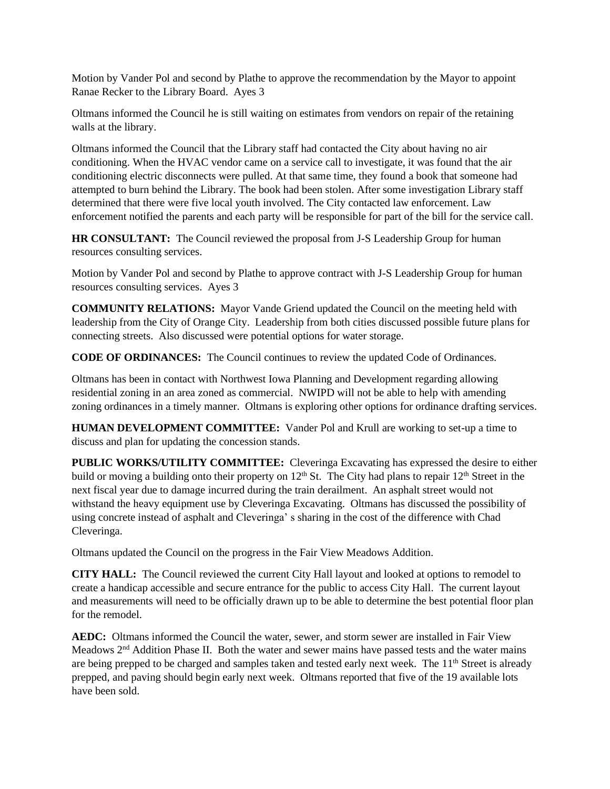Motion by Vander Pol and second by Plathe to approve the recommendation by the Mayor to appoint Ranae Recker to the Library Board. Ayes 3

Oltmans informed the Council he is still waiting on estimates from vendors on repair of the retaining walls at the library.

Oltmans informed the Council that the Library staff had contacted the City about having no air conditioning. When the HVAC vendor came on a service call to investigate, it was found that the air conditioning electric disconnects were pulled. At that same time, they found a book that someone had attempted to burn behind the Library. The book had been stolen. After some investigation Library staff determined that there were five local youth involved. The City contacted law enforcement. Law enforcement notified the parents and each party will be responsible for part of the bill for the service call.

**HR CONSULTANT:** The Council reviewed the proposal from J-S Leadership Group for human resources consulting services.

Motion by Vander Pol and second by Plathe to approve contract with J-S Leadership Group for human resources consulting services. Ayes 3

**COMMUNITY RELATIONS:** Mayor Vande Griend updated the Council on the meeting held with leadership from the City of Orange City. Leadership from both cities discussed possible future plans for connecting streets. Also discussed were potential options for water storage.

**CODE OF ORDINANCES:** The Council continues to review the updated Code of Ordinances.

Oltmans has been in contact with Northwest Iowa Planning and Development regarding allowing residential zoning in an area zoned as commercial. NWIPD will not be able to help with amending zoning ordinances in a timely manner. Oltmans is exploring other options for ordinance drafting services.

**HUMAN DEVELOPMENT COMMITTEE:** Vander Pol and Krull are working to set-up a time to discuss and plan for updating the concession stands.

**PUBLIC WORKS/UTILITY COMMITTEE:** Cleveringa Excavating has expressed the desire to either build or moving a building onto their property on 12<sup>th</sup> St. The City had plans to repair 12<sup>th</sup> Street in the next fiscal year due to damage incurred during the train derailment. An asphalt street would not withstand the heavy equipment use by Cleveringa Excavating. Oltmans has discussed the possibility of using concrete instead of asphalt and Cleveringa' s sharing in the cost of the difference with Chad Cleveringa.

Oltmans updated the Council on the progress in the Fair View Meadows Addition.

**CITY HALL:** The Council reviewed the current City Hall layout and looked at options to remodel to create a handicap accessible and secure entrance for the public to access City Hall. The current layout and measurements will need to be officially drawn up to be able to determine the best potential floor plan for the remodel.

**AEDC:** Oltmans informed the Council the water, sewer, and storm sewer are installed in Fair View Meadows 2nd Addition Phase II. Both the water and sewer mains have passed tests and the water mains are being prepped to be charged and samples taken and tested early next week. The 11<sup>th</sup> Street is already prepped, and paving should begin early next week. Oltmans reported that five of the 19 available lots have been sold.